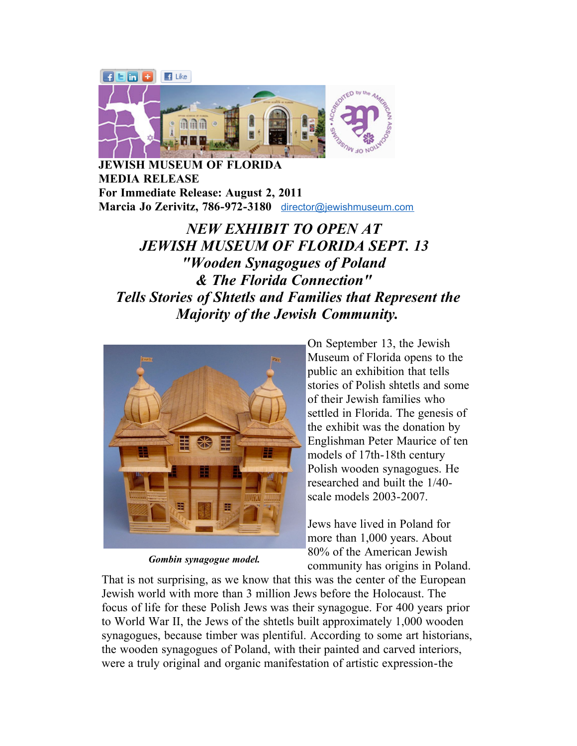

**JEWISH MUSEUM OF FLORIDA MEDIA RELEASE For Immediate Release: August 2, 2011 Marcia Jo Zerivitz, 786-972-3180** [director@jewishmuseum.com](mailto:director@jewishmuseum.com)

## *NEW EXHIBIT TO OPEN AT JEWISH MUSEUM OF FLORIDA SEPT. 13 "Wooden Synagogues of Poland & The Florida Connection" Tells Stories of Shtetls and Families that Represent the Majority of the Jewish Community.*



*Gombin synagogue model.*

On September 13, the Jewish Museum of Florida opens to the public an exhibition that tells stories of Polish shtetls and some of their Jewish families who settled in Florida. The genesis of the exhibit was the donation by Englishman Peter Maurice of ten models of 17th-18th century Polish wooden synagogues. He researched and built the 1/40 scale models 2003-2007.

Jews have lived in Poland for more than 1,000 years. About 80% of the American Jewish community has origins in Poland.

That is not surprising, as we know that this was the center of the European Jewish world with more than 3 million Jews before the Holocaust. The focus of life for these Polish Jews was their synagogue. For 400 years prior to World War II, the Jews of the shtetls built approximately 1,000 wooden synagogues, because timber was plentiful. According to some art historians, the wooden synagogues of Poland, with their painted and carved interiors, were a truly original and organic manifestation of artistic expression-the